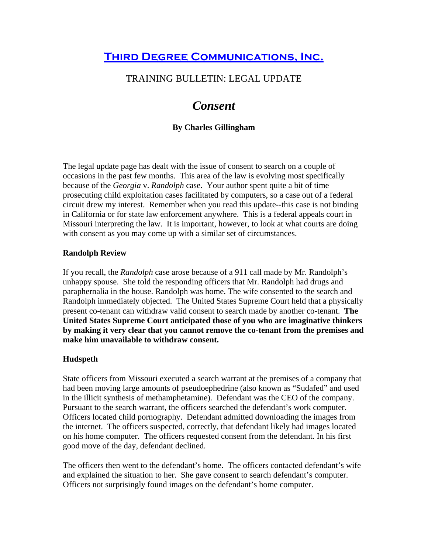## **Third Degree Communications, Inc.**

### TRAINING BULLETIN: LEGAL UPDATE

# *Consent*

#### **By Charles Gillingham**

The legal update page has dealt with the issue of consent to search on a couple of occasions in the past few months. This area of the law is evolving most specifically because of the *Georgia* v. *Randolph* case. Your author spent quite a bit of time prosecuting child exploitation cases facilitated by computers, so a case out of a federal circuit drew my interest. Remember when you read this update--this case is not binding in California or for state law enforcement anywhere. This is a federal appeals court in Missouri interpreting the law. It is important, however, to look at what courts are doing with consent as you may come up with a similar set of circumstances.

#### **Randolph Review**

If you recall, the *Randolph* case arose because of a 911 call made by Mr. Randolph's unhappy spouse. She told the responding officers that Mr. Randolph had drugs and paraphernalia in the house. Randolph was home. The wife consented to the search and Randolph immediately objected. The United States Supreme Court held that a physically present co-tenant can withdraw valid consent to search made by another co-tenant. **The United States Supreme Court anticipated those of you who are imaginative thinkers by making it very clear that you cannot remove the co-tenant from the premises and make him unavailable to withdraw consent.** 

#### **Hudspeth**

State officers from Missouri executed a search warrant at the premises of a company that had been moving large amounts of pseudoephedrine (also known as "Sudafed" and used in the illicit synthesis of methamphetamine). Defendant was the CEO of the company. Pursuant to the search warrant, the officers searched the defendant's work computer. Officers located child pornography. Defendant admitted downloading the images from the internet. The officers suspected, correctly, that defendant likely had images located on his home computer. The officers requested consent from the defendant. In his first good move of the day, defendant declined.

The officers then went to the defendant's home. The officers contacted defendant's wife and explained the situation to her. She gave consent to search defendant's computer. Officers not surprisingly found images on the defendant's home computer.